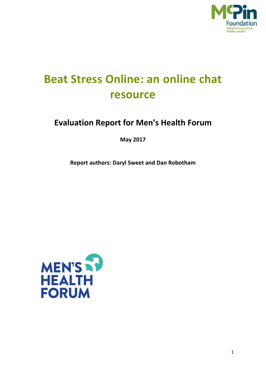

# **Beat Stress Online: an online chat resource**

# **Evaluation Report for Men's Health Forum**

**May 2017**

**Report authors: Daryl Sweet and Dan Robotham** 

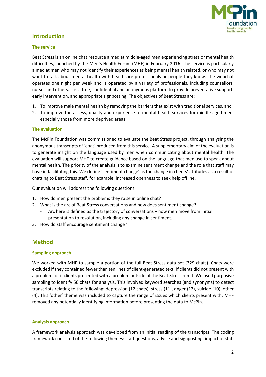

# **Introduction**

### **The service**

Beat Stress is an online chat resource aimed at middle-aged men experiencing stress or mental health difficulties, launched by the Men's Health Forum (MHF) in February 2016. The service is particularly aimed at men who may not identify their experiences as being mental health related, or who may not want to talk about mental health with healthcare professionals or people they know. The webchat operates one night per week and is operated by a variety of professionals, including counsellors, nurses and others. It is a free, confidential and anonymous platform to provide preventative support, early intervention, and appropriate signposting. The objectives of Beat Stress are:

- 1. To improve male mental health by removing the barriers that exist with traditional services, and
- 2. To improve the access, quality and experience of mental health services for middle-aged men, especially those from more deprived areas.

### **The evaluation**

The McPin Foundation was commissioned to evaluate the Beat Stress project, through analysing the anonymous transcripts of 'chat' produced from this service. A supplementary aim of the evaluation is to generate insight on the language used by men when communicating about mental health. The evaluation will support MHF to create guidance based on the language that men use to speak about mental health. The priority of the analysis is to examine sentiment change and the role that staff may have in facilitating this. We define 'sentiment change' as the change in clients' attitudes as a result of chatting to Beat Stress staff, for example, increased openness to seek help offline.

Our evaluation will address the following questions:

- 1. How do men present the problems they raise in online chat?
- 2. What is the arc of Beat Stress conversations and how does sentiment change?
	- Arc here is defined as the trajectory of conversations how men move from initial presentation to resolution, including any change in sentiment.
- 3. How do staff encourage sentiment change?

# **Method**

#### **Sampling approach**

We worked with MHF to sample a portion of the full Beat Stress data set (329 chats). Chats were excluded if they contained fewer than ten lines of client-generated text, if clients did not present with a problem, or if clients presented with a problem outside of the Beat Stress remit. We used purposive sampling to identify 50 chats for analysis. This involved keyword searches (and synonyms) to detect transcripts relating to the following: depression (12 chats), stress (11), anger (12), suicide (10), other (4). This 'other' theme was included to capture the range of issues which clients present with. MHF removed any potentially identifying information before presenting the data to McPin.

#### **Analysis approach**

A framework analysis approach was developed from an initial reading of the transcripts. The coding framework consisted of the following themes: staff questions, advice and signposting, impact of staff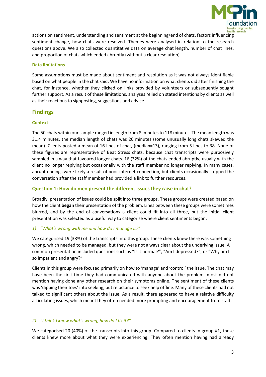

actions on sentiment, understanding and sentiment at the beginning/end of chats, factors influencing sentiment change, how chats were resolved. Themes were analysed in relation to the research questions above. We also collected quantitative data on average chat length, number of chat lines, and proportion of chats which ended abruptly (without a clear resolution).

# **Data limitations**

Some assumptions must be made about sentiment and resolution as it was not always identifiable based on what people in the chat said. We have no information on what clients did after finishing the chat, for instance, whether they clicked on links provided by volunteers or subsequently sought further support. As a result of these limitations, analyses relied on stated intentions by clients as well as their reactions to signposting, suggestions and advice.

# **Findings**

# **Context**

The 50 chats within our sample ranged in length from 8 minutes to 118 minutes. The mean length was 31.4 minutes, the median length of chats was 26 minutes (some unusually long chats skewed the mean). Clients posted a mean of 16 lines of chat, (median=13), ranging from 5 lines to 38. None of these figures are representative of Beat Stress chats, because chat transcripts were purposively sampled in a way that favoured longer chats. 16 (32%) of the chats ended abruptly, usually with the client no longer replying but occasionally with the staff member no longer replying. In many cases, abrupt endings were likely a result of poor internet connection, but clients occasionally stopped the conversation after the staff member had provided a link to further resources.

# **Question 1: How do men present the different issues they raise in chat?**

Broadly, presentation of issues could be split into three groups. These groups were created based on how the client **began** their presentation of the problem. Lines between these groups were sometimes blurred, and by the end of conversations a client could fit into all three, but the initial client presentation was selected as a useful way to categorise where client sentiments began:

#### *1) "What's wrong with me and how do I manage it?"*

We categorised 19 (38%) of the transcripts into this group. These clients knew there was something wrong, which needed to be managed, but they were not always clear about the underlying issue. A common presentation included questions such as "Is it normal?", "Am I depressed?", or "Why am I so impatient and angry?"

Clients in this group were focused primarily on how to 'manage' and 'control' the issue. The chat may have been the first time they had communicated with anyone about the problem, most did not mention having done any other research on their symptoms online. The sentiment of these clients was 'dipping their toes' into seeking, but reluctance to seek help offline. Many of these clients had not talked to significant others about the issue. As a result, there appeared to have a relative difficulty articulating issues, which meant they often needed more prompting and encouragement from staff.

# *2) "I think I know what's wrong, how do I fix it?"*

We categorised 20 (40%) of the transcripts into this group. Compared to clients in group #1, these clients knew more about what they were experiencing. They often mention having had already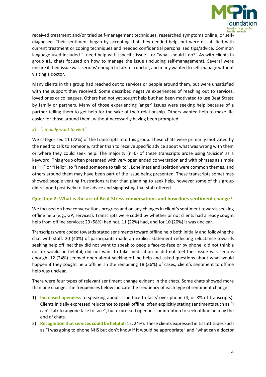

received treatment and/or tried self-management techniques, researched symptoms online, or selfdiagnosed. Their sentiment began by accepting that they needed help, but were dissatisfied with current treatment or coping techniques and needed confidential personalised tips/advice. Common language used included "I need help with [specific issue]" or "what should I do?" As with clients in group #1, chats focused on how to manage the issue (including self-management). Several were unsure if their issue was 'serious' enough to talk to a doctor, and many wanted to self-manage without visiting a doctor.

Many clients in this group had reached out to services or people around them, but were unsatisfied with the support they received. Some described negative experiences of reaching out to services, loved ones or colleagues. Others had not yet sought help but had been motivated to use Beat Stress by family or partners. Many of those experiencing 'anger' issues were seeking help because of a partner telling them to get help for the sake of their relationship. Others wanted help to make life easier for those around them, without necessarily having been prompted.

# *3) "I mainly want to vent"*

We categorised 11 (22%) of the transcripts into this group. These chats were primarily motivated by the need to talk to someone, rather than to receive specific advice about what was wrong with them or where they could seek help. The majority (n=6) of these transcripts arose using 'suicide' as a keyword. This group often presented with very open ended conversation and with phrases as simple as "Hi" or "Hello", to "I need someone to talk to". Loneliness and isolation were common themes, and others around them may have been part of the issue being presented. These transcripts sometimes showed people venting frustrations rather than planning to seek help, however some of this group did respond positively to the advice and signposting that staff offered.

# **Question 2: What is the arc of Beat Stress conversations and how does sentiment change?**

We focused on how conversations progress and on any changes in client's sentiment towards seeking offline help (e.g., GP, services). Transcripts were coded by whether or not clients had already sought help from offline services; 29 (58%) had not, 11 (22%) had, and for 10 (20%) it was unclear.

Transcripts were coded towards stated sentiments toward offline help both initially and following the chat with staff. 20 (40%) of participants made an explicit statement reflecting reluctance towards seeking help offline; they did not want to speak to people face-to-face or by phone, did not think a doctor would be helpful, did not want to take medication or did not feel their issue was serious enough. 12 (24%) seemed open about seeking offline help and asked questions about what would happen if they sought help offline. In the remaining 18 (36%) of cases, client's sentiment to offline help was unclear.

There were four types of relevant sentiment change evident in the chats. Some chats showed more than one change. The frequencies below indicate the frequency of each type of sentiment change:

- 1) **Increased openness** to speaking about issue face to face/ over phone (4, or 8% of transcripts): Clients initially expressed reluctance to speak offline, often explicitly stating sentiments such as "I can't talk to anyone face to face", but expressed openness or intention to seek offline help by the end of chats.
- 2) **Recognition that services could be helpful** (12, 24%): These clients expressed initial attitudes such as "I was going to phone NHS but don't know if it would be appropriate" and "what can a doctor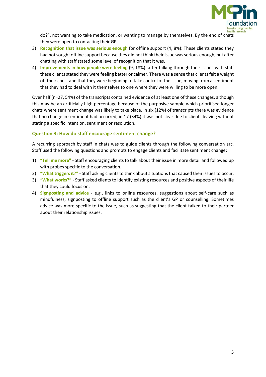

do?", not wanting to take medication, or wanting to manage by themselves. By the end of chats they were open to contacting their GP.

- 3) **Recognition that issue was serious enough** for offline support (4, 8%): These clients stated they had not sought offline support because they did not think their issue was serious enough, but after chatting with staff stated some level of recognition that it was.
- 4) **Improvements in how people were feeling** (9, 18%): after talking through their issues with staff these clients stated they were feeling better or calmer. There was a sense that clients felt a weight off their chest and that they were beginning to take control of the issue, moving from a sentiment that they had to deal with it themselves to one where they were willing to be more open.

Over half (n=27, 54%) of the transcripts contained evidence of at least one of these changes, although this may be an artificially high percentage because of the purposive sample which prioritised longer chats where sentiment change was likely to take place. In six (12%) of transcripts there was evidence that no change in sentiment had occurred, in 17 (34%) it was not clear due to clients leaving without stating a specific intention, sentiment or resolution.

# **Question 3: How do staff encourage sentiment change?**

A recurring approach by staff in chats was to guide clients through the following conversation arc. Staff used the following questions and prompts to engage clients and facilitate sentiment change:

- 1) **"Tell me more"** Staff encouraging clients to talk about their issue in more detail and followed up with probes specific to the conversation.
- 2) **"What triggers it?"** Staff asking clients to think about situations that caused their issues to occur.
- 3) **"What works?"** Staff asked clients to identify existing resources and positive aspects of their life that they could focus on.
- 4) **Signposting and advice** e.g., links to online resources, suggestions about self-care such as mindfulness, signposting to offline support such as the client's GP or counselling. Sometimes advice was more specific to the issue, such as suggesting that the client talked to their partner about their relationship issues.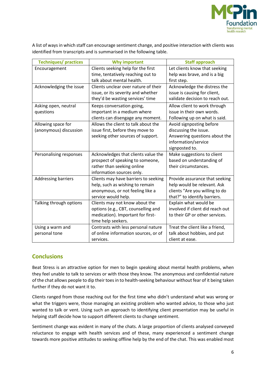

A list of ways in which staff can encourage sentiment change, and positive interaction with clients was identified from transcripts and is summarised in the following table.

| <b>Techniques/practices</b> | <b>Why important</b>                 | <b>Staff approach</b>            |
|-----------------------------|--------------------------------------|----------------------------------|
| Encouragement               | Clients seeking help for the first   | Let clients know that seeking    |
|                             | time, tentatively reaching out to    | help was brave, and is a big     |
|                             | talk about mental health.            | first step.                      |
| Acknowledging the issue     | Clients unclear over nature of their | Acknowledge the distress the     |
|                             | issue, or its severity and whether   | issue is causing for client,     |
|                             | they'd be wasting services' time     | validate decision to reach out.  |
| Asking open, neutral        | Keeps conversation going,            | Allow client to work through     |
| questions                   | important in a medium where          | issue in their own words.        |
|                             | clients can disengage any moment.    | Following up on what is said.    |
| Allowing space for          | Allows the client to talk about the  | Avoid signposting before         |
| (anonymous) discussion      | issue first, before they move to     | discussing the issue.            |
|                             | seeking other sources of support.    | Answering questions about the    |
|                             |                                      | information/service              |
|                             |                                      | signposted to.                   |
| Personalising responses     | Acknowledges that clients value the  | Make suggestions to client       |
|                             | prospect of speaking to someone,     | based on understanding of        |
|                             | rather than seeking online           | their circumstances.             |
|                             | information sources only.            |                                  |
| <b>Addressing barriers</b>  | Clients may have barriers to seeking | Provide assurance that seeking   |
|                             | help, such as wishing to remain      | help would be relevant. Ask      |
|                             | anonymous, or not feeling like a     | clients "Are you willing to do   |
|                             | service would help.                  | that?" to identify barriers.     |
| Talking through options     | Clients may not know about the       | Explain what would be            |
|                             | options (e.g., CBT, counselling and  | involved if client did reach out |
|                             | medication). Important for first-    | to their GP or other services.   |
|                             | time help seekers.                   |                                  |
| Using a warm and            | Contrasts with less personal nature  | Treat the client like a friend,  |
| personal tone               | of online information sources, or of | talk about hobbies, and put      |
|                             | services.                            | client at ease.                  |

# **Conclusions**

Beat Stress is an attractive option for men to begin speaking about mental health problems, when they feel unable to talk to services or with those they know. The anonymous and confidential nature of the chat allows people to dip their toes in to health-seeking behaviour without fear of it being taken further if they do not want it to.

Clients ranged from those reaching out for the first time who didn't understand what was wrong or what the triggers were, those managing an existing problem who wanted advice, to those who just wanted to talk or vent. Using such an approach to identifying client presentation may be useful in helping staff decide how to support different clients to change sentiment.

Sentiment change was evident in many of the chats. A large proportion of clients analysed conveyed reluctance to engage with health services and of these, many experienced a sentiment change towards more positive attitudes to seeking offline help by the end of the chat. This was enabled most